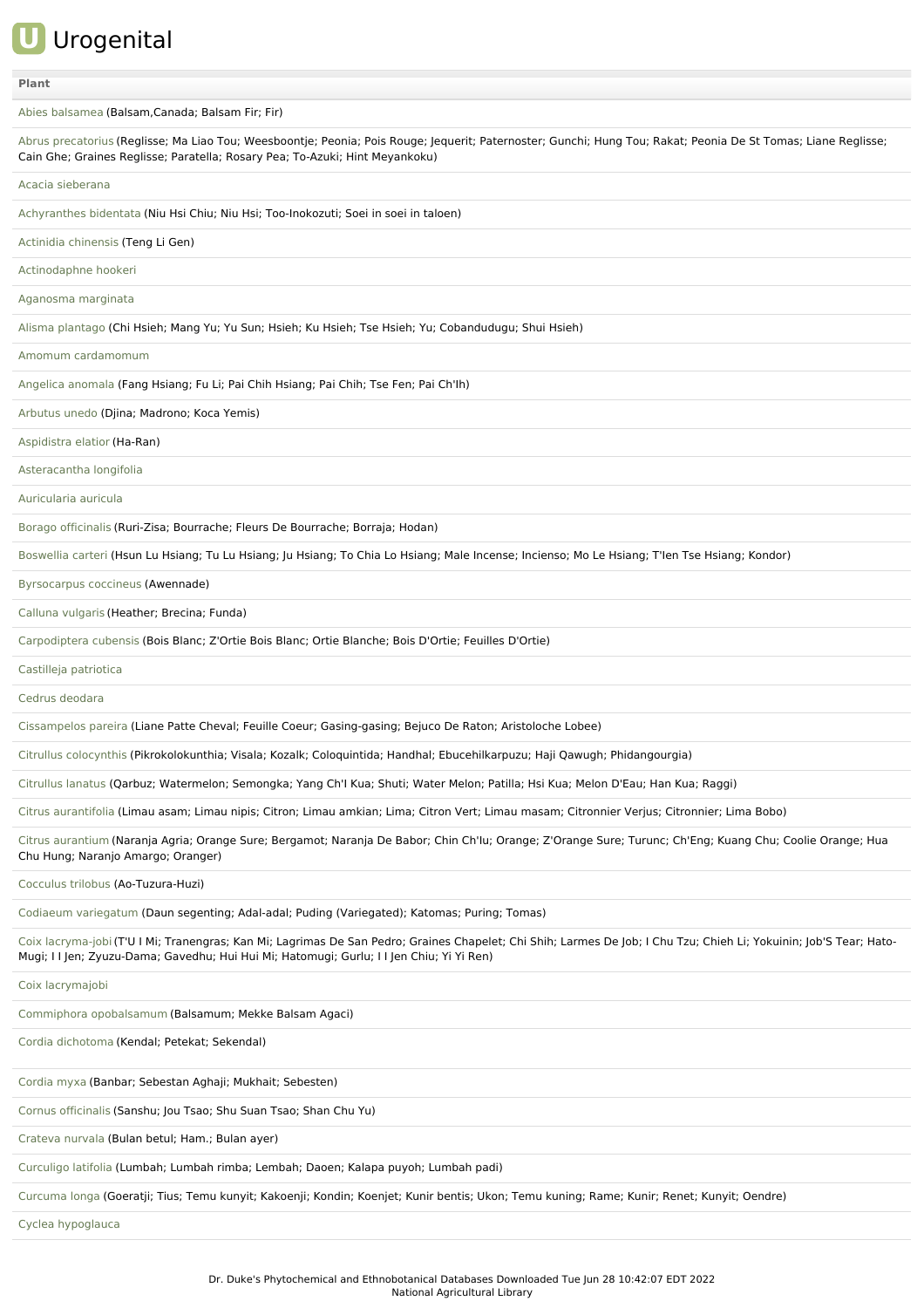## **U** Urogenital

## **[Plant](file:///phytochem/ethnoActivity/ethnoActivityListAll?max=&offset=0&count=&filter=&sort=plant&order=asc)**

Abies [balsamea](file:///phytochem/ethnoPlants/show/3992) (Balsam,Canada; Balsam Fir; Fir) Abrus [precatorius](file:///phytochem/ethnoPlants/show/132) (Reglisse; Ma Liao Tou; Weesboontje; Peonia; Pois Rouge; Jequerit; Paternoster; Gunchi; Hung Tou; Rakat; Peonia De St Tomas; Liane Reglisse; Cain Ghe; Graines Reglisse; Paratella; Rosary Pea; To-Azuki; Hint Meyankoku) Acacia [sieberana](file:///phytochem/ethnoPlants/show/1023) [Achyranthes](file:///phytochem/ethnoPlants/show/555) bidentata (Niu Hsi Chiu; Niu Hsi; Too-Inokozuti; Soei in soei in taloen) Actinidia [chinensis](file:///phytochem/ethnoPlants/show/1921) (Teng Li Gen) [Actinodaphne](file:///phytochem/ethnoPlants/show/5850) hookeri [Aganosma](file:///phytochem/ethnoPlants/show/6692) marginata Alisma [plantago](file:///phytochem/ethnoPlants/show/2620) (Chi Hsieh; Mang Yu; Yu Sun; Hsieh; Ku Hsieh; Tse Hsieh; Yu; Cobandudugu; Shui Hsieh) Amomum [cardamomum](file:///phytochem/ethnoPlants/show/4604) [Angelica](file:///phytochem/ethnoPlants/show/279) anomala (Fang Hsiang; Fu Li; Pai Chih Hsiang; Pai Chih; Tse Fen; Pai Ch'Ih) [Arbutus](file:///phytochem/ethnoPlants/show/2156) unedo (Djina; Madrono; Koca Yemis) [Aspidistra](file:///phytochem/ethnoPlants/show/23) elatior (Ha-Ran) [Asteracantha](file:///phytochem/ethnoPlants/show/1490) longifolia [Auricularia](file:///phytochem/ethnoPlants/show/6394) auricula Borago [officinalis](file:///phytochem/ethnoPlants/show/5272) (Ruri-Zisa; Bourrache; Fleurs De Bourrache; Borraja; Hodan) [Boswellia](file:///phytochem/ethnoPlants/show/1238) carteri (Hsun Lu Hsiang; Tu Lu Hsiang; Ju Hsiang; To Chia Lo Hsiang; Male Incense; Incienso; Mo Le Hsiang; T'Ien Tse Hsiang; Kondor) [Byrsocarpus](file:///phytochem/ethnoPlants/show/485) coccineus (Awennade) Calluna [vulgaris](file:///phytochem/ethnoPlants/show/2172) (Heather; Brecina; Funda) [Carpodiptera](file:///phytochem/ethnoPlants/show/1517) cubensis (Bois Blanc; Z'Ortie Bois Blanc; Ortie Blanche; Bois D'Ortie; Feuilles D'Ortie) Castilleja [patriotica](file:///phytochem/ethnoPlants/show/10747) Cedrus [deodara](file:///phytochem/ethnoPlants/show/596) [Cissampelos](file:///phytochem/ethnoPlants/show/1512) pareira (Liane Patte Cheval; Feuille Coeur; Gasing-gasing; Bejuco De Raton; Aristoloche Lobee) Citrullus [colocynthis](file:///phytochem/ethnoPlants/show/156) (Pikrokolokunthia; Visala; Kozalk; Coloquintida; Handhal; Ebucehilkarpuzu; Haji Qawugh; Phidangourgia) [Citrullus](file:///phytochem/ethnoPlants/show/2177) lanatus (Qarbuz; Watermelon; Semongka; Yang Ch'I Kua; Shuti; Water Melon; Patilla; Hsi Kua; Melon D'Eau; Han Kua; Raggi) Citrus [aurantifolia](file:///phytochem/ethnoPlants/show/2038) (Limau asam; Limau nipis; Citron; Limau amkian; Lima; Citron Vert; Limau masam; Citronnier Verjus; Citronnier; Lima Bobo) Citrus [aurantium](file:///phytochem/ethnoPlants/show/38) (Naranja Agria; Orange Sure; Bergamot; Naranja De Babor; Chin Ch'Iu; Orange; Z'Orange Sure; Turunc; Ch'Eng; Kuang Chu; Coolie Orange; Hua Chu Hung; Naranjo Amargo; Oranger) [Cocculus](file:///phytochem/ethnoPlants/show/1144) trilobus (Ao-Tuzura-Huzi) Codiaeum [variegatum](file:///phytochem/ethnoPlants/show/159) (Daun segenting; Adal-adal; Puding (Variegated); Katomas; Puring; Tomas) Coix [lacryma-job](file:///phytochem/ethnoPlants/show/300)i (T'U I Mi; Tranengras; Kan Mi; Lagrimas De San Pedro; Graines Chapelet; Chi Shih; Larmes De Job; I Chu Tzu; Chieh Li; Yokuinin; Job'S Tear; Hato-Mugi; I I Jen; Zyuzu-Dama; Gavedhu; Hui Hui Mi; Hatomugi; Gurlu; I I Jen Chiu; Yi Yi Ren) Coix [lacrymajobi](file:///phytochem/ethnoPlants/show/4702) Commiphora [opobalsamum](file:///phytochem/ethnoPlants/show/2987) (Balsamum; Mekke Balsam Agaci) Cordia [dichotoma](file:///phytochem/ethnoPlants/show/6168) (Kendal; Petekat; Sekendal) [Cordia](file:///phytochem/ethnoPlants/show/4824) myxa (Banbar; Sebestan Aghaji; Mukhait; Sebesten) Cornus [officinalis](file:///phytochem/ethnoPlants/show/1179) (Sanshu; Jou Tsao; Shu Suan Tsao; Shan Chu Yu) [Crateva](file:///phytochem/ethnoPlants/show/2442) nurvala (Bulan betul; Ham.; Bulan ayer) [Curculigo](file:///phytochem/ethnoPlants/show/2445) latifolia (Lumbah; Lumbah rimba; Lembah; Daoen; Kalapa puyoh; Lumbah padi) [Curcuma](file:///phytochem/ethnoPlants/show/3366) longa (Goeratji; Tius; Temu kunyit; Kakoenji; Kondin; Koenjet; Kunir bentis; Ukon; Temu kuning; Rame; Kunir; Renet; Kunyit; Oendre) Cyclea [hypoglauca](file:///phytochem/ethnoPlants/show/1146)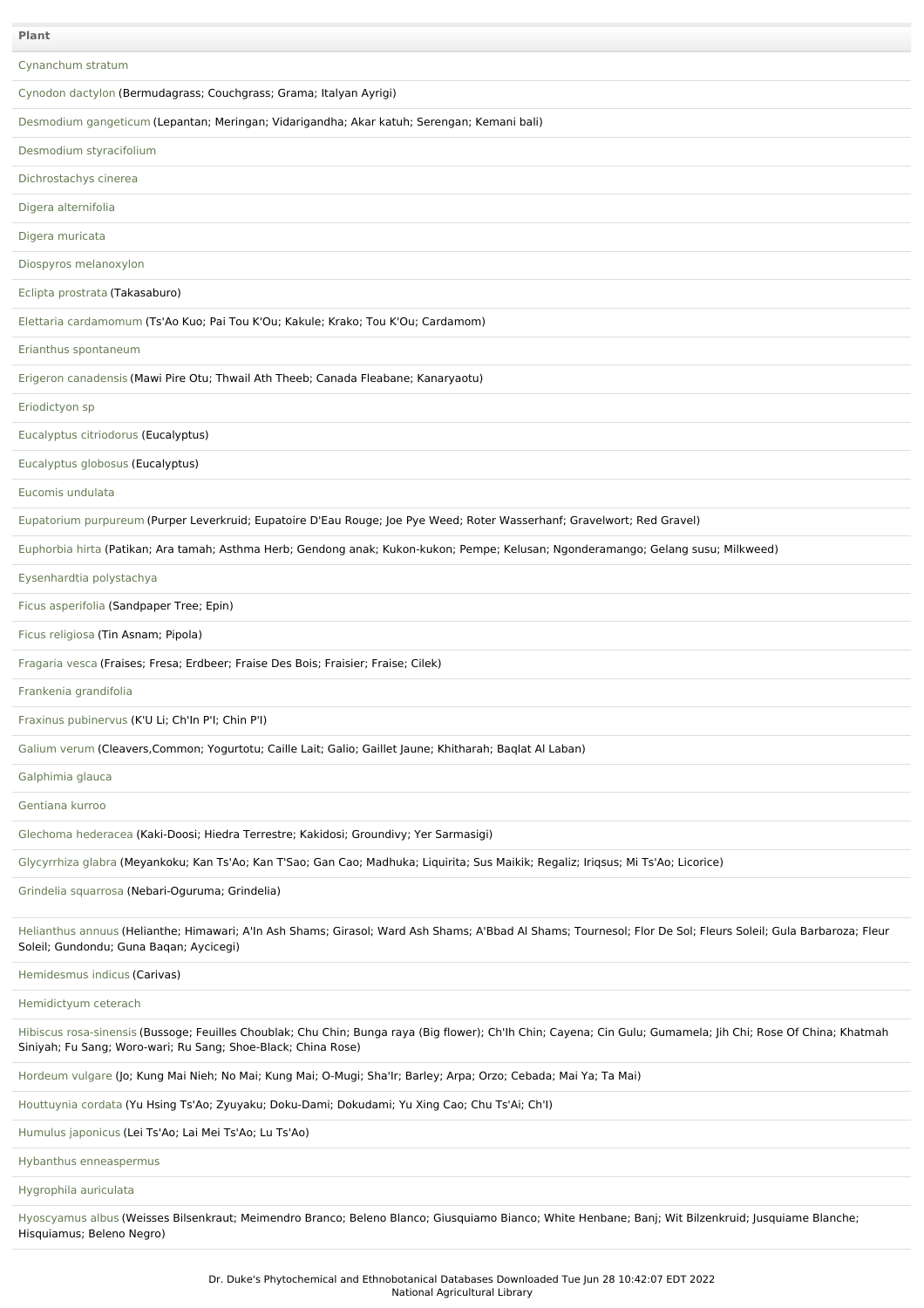| <b>Plant</b>                                                                                                                                                                                                                    |
|---------------------------------------------------------------------------------------------------------------------------------------------------------------------------------------------------------------------------------|
| Cynanchum stratum                                                                                                                                                                                                               |
| Cynodon dactylon (Bermudagrass; Couchgrass; Grama; Italyan Ayrigi)                                                                                                                                                              |
| Desmodium gangeticum (Lepantan; Meringan; Vidarigandha; Akar katuh; Serengan; Kemani bali)                                                                                                                                      |
| Desmodium styracifolium                                                                                                                                                                                                         |
| Dichrostachys cinerea                                                                                                                                                                                                           |
| Digera alternifolia                                                                                                                                                                                                             |
| Digera muricata                                                                                                                                                                                                                 |
| Diospyros melanoxylon                                                                                                                                                                                                           |
| Eclipta prostrata (Takasaburo)                                                                                                                                                                                                  |
| Elettaria cardamomum (Ts'Ao Kuo; Pai Tou K'Ou; Kakule; Krako; Tou K'Ou; Cardamom)                                                                                                                                               |
| Erianthus spontaneum                                                                                                                                                                                                            |
| Erigeron canadensis (Mawi Pire Otu; Thwail Ath Theeb; Canada Fleabane; Kanaryaotu)                                                                                                                                              |
| Eriodictyon sp                                                                                                                                                                                                                  |
| Eucalyptus citriodorus (Eucalyptus)                                                                                                                                                                                             |
| Eucalyptus globosus (Eucalyptus)                                                                                                                                                                                                |
| Eucomis undulata                                                                                                                                                                                                                |
| Eupatorium purpureum (Purper Leverkruid; Eupatoire D'Eau Rouge; Joe Pye Weed; Roter Wasserhanf; Gravelwort; Red Gravel)                                                                                                         |
| Euphorbia hirta (Patikan; Ara tamah; Asthma Herb; Gendong anak; Kukon-kukon; Pempe; Kelusan; Ngonderamango; Gelang susu; Milkweed)                                                                                              |
| Eysenhardtia polystachya                                                                                                                                                                                                        |
| Ficus asperifolia (Sandpaper Tree; Epin)                                                                                                                                                                                        |
| Ficus religiosa (Tin Asnam; Pipola)                                                                                                                                                                                             |
| Fragaria vesca (Fraises; Fresa; Erdbeer; Fraise Des Bois; Fraisier; Fraise; Cilek)                                                                                                                                              |
| Frankenia grandifolia                                                                                                                                                                                                           |
| Fraxinus pubinervus (K'U Li; Ch'In P'I; Chin P'I)                                                                                                                                                                               |
| Galium verum (Cleavers, Common; Yogurtotu; Caille Lait; Galio; Gaillet Jaune; Khitharah; Baqlat Al Laban)                                                                                                                       |
| Galphimia glauca                                                                                                                                                                                                                |
| Gentiana kurroo                                                                                                                                                                                                                 |
| Glechoma hederacea (Kaki-Doosi; Hiedra Terrestre; Kakidosi; Groundivy; Yer Sarmasigi)                                                                                                                                           |
| Glycyrrhiza glabra (Meyankoku; Kan Ts'Ao; Kan T'Sao; Gan Cao; Madhuka; Liquirita; Sus Maikik; Regaliz; Iriqsus; Mi Ts'Ao; Licorice)                                                                                             |
| Grindelia squarrosa (Nebari-Oguruma; Grindelia)                                                                                                                                                                                 |
| Helianthus annuus (Helianthe; Himawari; A'In Ash Shams; Girasol; Ward Ash Shams; A'Bbad Al Shams; Tournesol; Flor De Sol; Fleurs Soleil; Gula Barbaroza; Fleur<br>Soleil; Gundondu; Guna Bagan; Aycicegi)                       |
| Hemidesmus indicus (Carivas)                                                                                                                                                                                                    |
| Hemidictyum ceterach                                                                                                                                                                                                            |
| Hibiscus rosa-sinensis (Bussoge; Feuilles Choublak; Chu Chin; Bunga raya (Big flower); Ch'lh Chin; Cayena; Cin Gulu; Gumamela; Jih Chi; Rose Of China; Khatmah<br>Siniyah; Fu Sang; Woro-wari; Ru Sang; Shoe-Black; China Rose) |
| Hordeum vulgare (Jo; Kung Mai Nieh; No Mai; Kung Mai; O-Mugi; Sha'Ir; Barley; Arpa; Orzo; Cebada; Mai Ya; Ta Mai)                                                                                                               |
| Houttuynia cordata (Yu Hsing Ts'Ao; Zyuyaku; Doku-Dami; Dokudami; Yu Xing Cao; Chu Ts'Ai; Ch'l)                                                                                                                                 |
| Humulus japonicus (Lei Ts'Ao; Lai Mei Ts'Ao; Lu Ts'Ao)                                                                                                                                                                          |
| Hybanthus enneaspermus                                                                                                                                                                                                          |
| Hygrophila auriculata                                                                                                                                                                                                           |

[Hyoscyamus](file:///phytochem/ethnoPlants/show/1695) albus (Weisses Bilsenkraut; Meimendro Branco; Beleno Blanco; Giusquiamo Bianco; White Henbane; Banj; Wit Bilzenkruid; Jusquiame Blanche; Hisquiamus; Beleno Negro)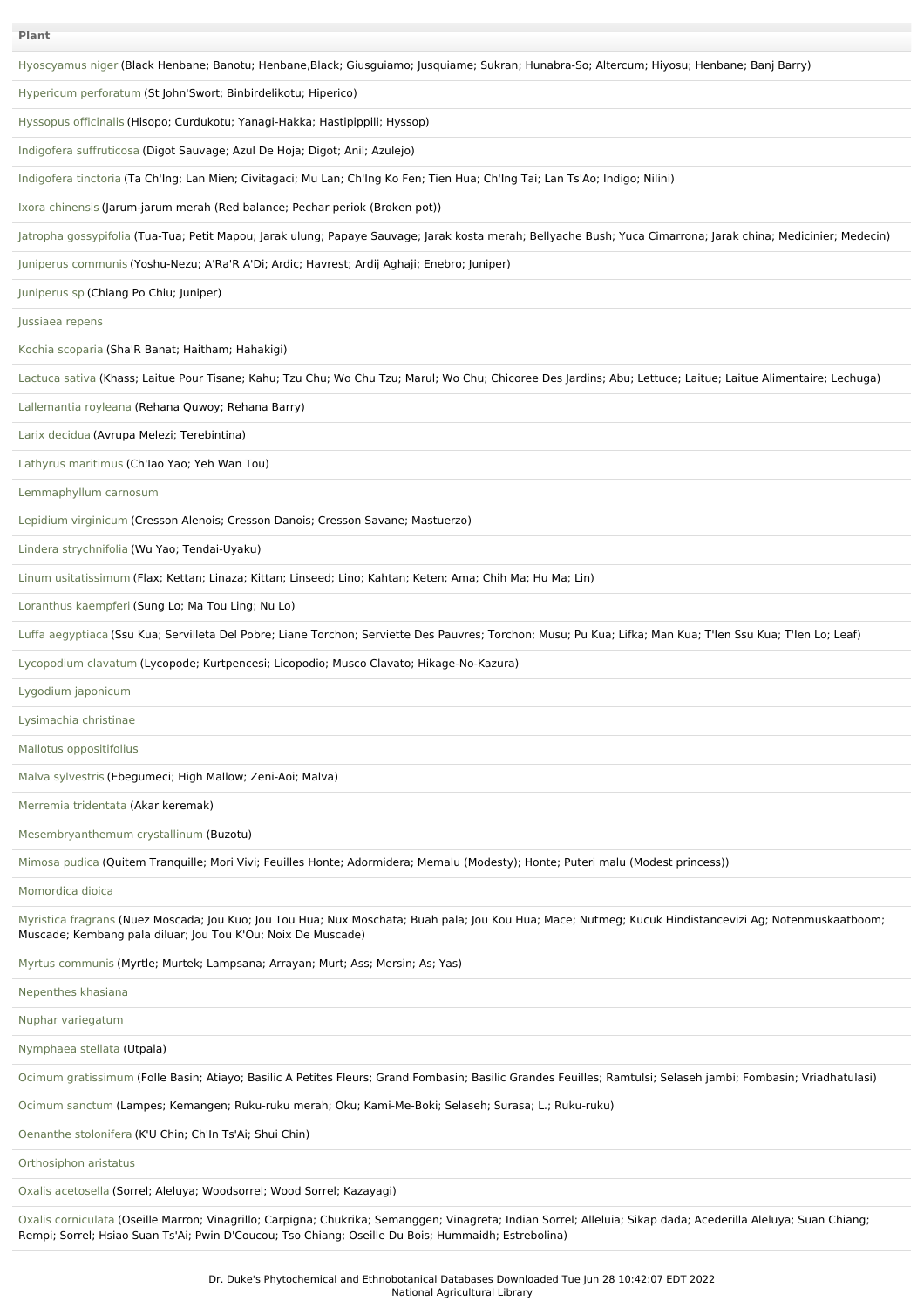| <b>Plant</b>                                                                                                                                                                                                            |
|-------------------------------------------------------------------------------------------------------------------------------------------------------------------------------------------------------------------------|
| Hyoscyamus niger (Black Henbane; Banotu; Henbane,Black; Giusguiamo; Jusguiame; Sukran; Hunabra-So; Altercum; Hiyosu; Henbane; Banj Barry)                                                                               |
| Hypericum perforatum (St John'Swort; Binbirdelikotu; Hiperico)                                                                                                                                                          |
| Hyssopus officinalis (Hisopo; Curdukotu; Yanagi-Hakka; Hastipippili; Hyssop)                                                                                                                                            |
| Indigofera suffruticosa (Digot Sauvage; Azul De Hoja; Digot; Anil; Azulejo)                                                                                                                                             |
| Indigofera tinctoria (Ta Ch'Ing; Lan Mien; Civitagaci; Mu Lan; Ch'Ing Ko Fen; Tien Hua; Ch'Ing Tai; Lan Ts'Ao; Indigo; Nilini)                                                                                          |
| Ixora chinensis (Jarum-jarum merah (Red balance; Pechar periok (Broken pot))                                                                                                                                            |
| Jatropha gossypifolia (Tua-Tua; Petit Mapou; Jarak ulung; Papaye Sauvage; Jarak kosta merah; Bellyache Bush; Yuca Cimarrona; Jarak china; Medicinier; Medecin)                                                          |
| Juniperus communis (Yoshu-Nezu; A'Ra'R A'Di; Ardic; Havrest; Ardij Aghaji; Enebro; Juniper)                                                                                                                             |
| Juniperus sp (Chiang Po Chiu; Juniper)                                                                                                                                                                                  |
| Jussiaea repens                                                                                                                                                                                                         |
| Kochia scoparia (Sha'R Banat; Haitham; Hahakigi)                                                                                                                                                                        |
| Lactuca sativa (Khass; Laitue Pour Tisane; Kahu; Tzu Chu; Wo Chu Tzu; Marul; Wo Chu; Chicoree Des Jardins; Abu; Lettuce; Laitue; Laitue Alimentaire; Lechuga)                                                           |
| Lallemantia royleana (Rehana Quwoy; Rehana Barry)                                                                                                                                                                       |
| Larix decidua (Avrupa Melezi; Terebintina)                                                                                                                                                                              |
| Lathyrus maritimus (Ch'lao Yao; Yeh Wan Tou)                                                                                                                                                                            |
| Lemmaphyllum carnosum                                                                                                                                                                                                   |
| Lepidium virginicum (Cresson Alenois; Cresson Danois; Cresson Savane; Mastuerzo)                                                                                                                                        |
| Lindera strychnifolia (Wu Yao; Tendai-Uyaku)                                                                                                                                                                            |
| Linum usitatissimum (Flax; Kettan; Linaza; Kittan; Linseed; Lino; Kahtan; Keten; Ama; Chih Ma; Hu Ma; Lin)                                                                                                              |
| Loranthus kaempferi (Sung Lo; Ma Tou Ling; Nu Lo)                                                                                                                                                                       |
| Luffa aegyptiaca (Ssu Kua; Servilleta Del Pobre; Liane Torchon; Serviette Des Pauvres; Torchon; Musu; Pu Kua; Lifka; Man Kua; T'len Ssu Kua; T'len Lo; Leaf)                                                            |
| Lycopodium clavatum (Lycopode; Kurtpencesi; Licopodio; Musco Clavato; Hikage-No-Kazura)                                                                                                                                 |
| Lygodium japonicum                                                                                                                                                                                                      |
| Lysimachia christinae                                                                                                                                                                                                   |
| Mallotus oppositifolius                                                                                                                                                                                                 |
| Malva sylvestris (Ebegumeci; High Mallow; Zeni-Aoi; Malva)                                                                                                                                                              |
| Merremia tridentata (Akar keremak)                                                                                                                                                                                      |
| Mesembryanthemum crystallinum (Buzotu)                                                                                                                                                                                  |
| Mimosa pudica (Quitem Tranquille; Mori Vivi; Feuilles Honte; Adormidera; Memalu (Modesty); Honte; Puteri malu (Modest princess))                                                                                        |
| Momordica dioica                                                                                                                                                                                                        |
| Myristica fragrans (Nuez Moscada; Jou Kuo; Jou Tou Hua; Nux Moschata; Buah pala; Jou Kou Hua; Mace; Nutmeg; Kucuk Hindistancevizi Ag; Notenmuskaatboom;<br>Muscade; Kembang pala diluar; Jou Tou K'Ou; Noix De Muscade) |
| Myrtus communis (Myrtle; Murtek; Lampsana; Arrayan; Murt; Ass; Mersin; As; Yas)                                                                                                                                         |
| Nepenthes khasiana                                                                                                                                                                                                      |
| Nuphar variegatum                                                                                                                                                                                                       |
| Nymphaea stellata (Utpala)                                                                                                                                                                                              |
| Ocimum gratissimum (Folle Basin; Atiayo; Basilic A Petites Fleurs; Grand Fombasin; Basilic Grandes Feuilles; Ramtulsi; Selaseh jambi; Fombasin; Vriadhatulasi)                                                          |
| Ocimum sanctum (Lampes; Kemangen; Ruku-ruku merah; Oku; Kami-Me-Boki; Selaseh; Surasa; L.; Ruku-ruku)                                                                                                                   |
| Oenanthe stolonifera (K'U Chin; Ch'In Ts'Ai; Shui Chin)                                                                                                                                                                 |
| Orthosiphon aristatus                                                                                                                                                                                                   |
| Oxalis acetosella (Sorrel; Aleluya; Woodsorrel; Wood Sorrel; Kazayagi)                                                                                                                                                  |
| Oxalis corniculata (Oseille Marron; Vinagrillo; Carpigna; Chukrika; Semanggen; Vinagreta; Indian Sorrel; Alleluia; Sikap dada; Acederilla Aleluya; Suan Chiang;                                                         |

Rempi; Sorrel; Hsiao Suan Ts'Ai; Pwin D'Coucou; Tso Chiang; Oseille Du Bois; Hummaidh; Estrebolina)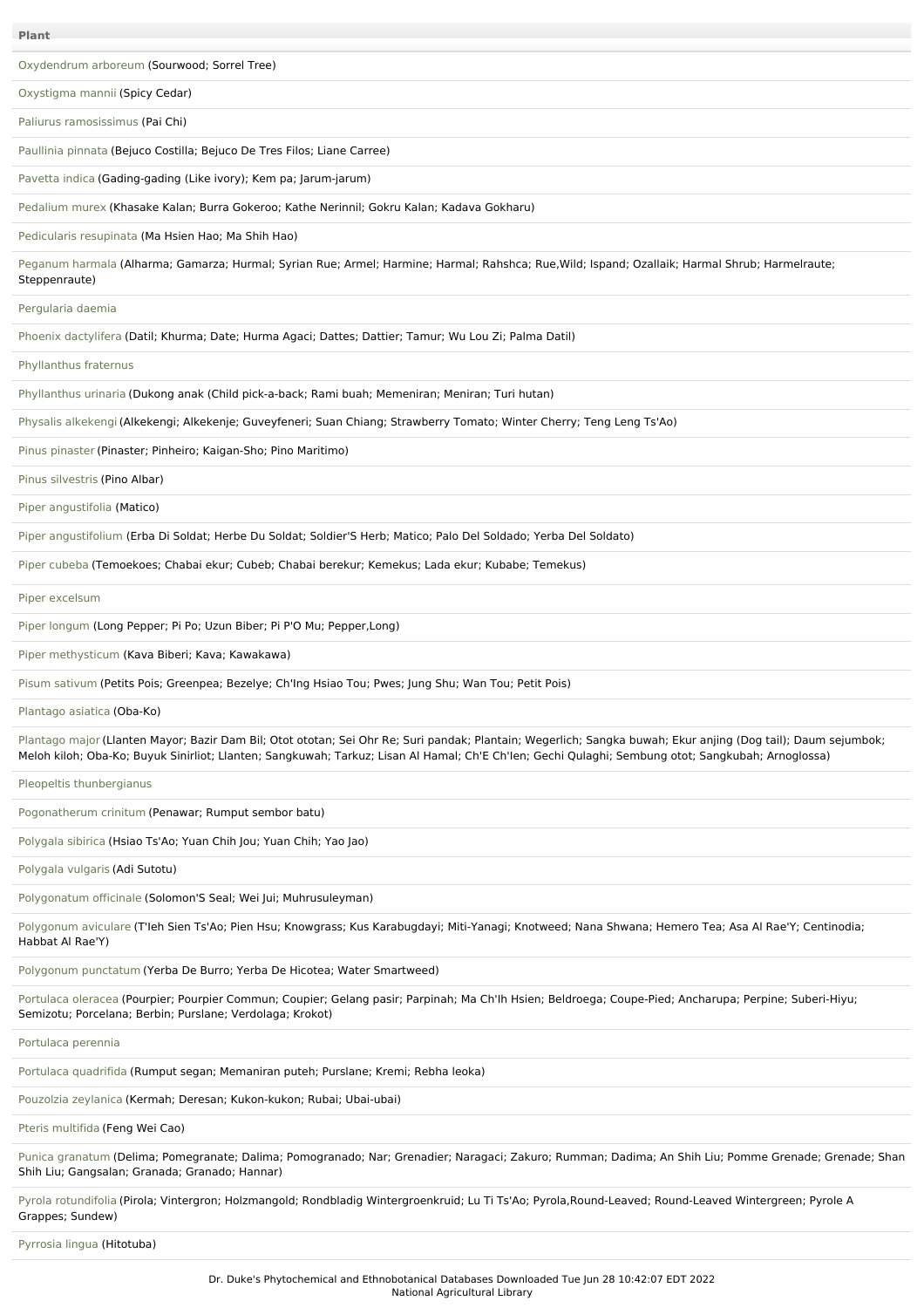**Plant**

[Oxydendrum](file:///phytochem/ethnoPlants/show/11637) arboreum (Sourwood; Sorrel Tree)

[Oxystigma](file:///phytochem/ethnoPlants/show/2230) mannii (Spicy Cedar)

Paliurus [ramosissimus](file:///phytochem/ethnoPlants/show/8432) (Pai Chi)

[Paullinia](file:///phytochem/ethnoPlants/show/87) pinnata (Bejuco Costilla; Bejuco De Tres Filos; Liane Carree)

[Pavetta](file:///phytochem/ethnoPlants/show/747) indica (Gading-gading (Like ivory); Kem pa; Jarum-jarum)

[Pedalium](file:///phytochem/ethnoPlants/show/2574) murex (Khasake Kalan; Burra Gokeroo; Kathe Nerinnil; Gokru Kalan; Kadava Gokharu)

[Pedicularis](file:///phytochem/ethnoPlants/show/9429) resupinata (Ma Hsien Hao; Ma Shih Hao)

[Peganum](file:///phytochem/ethnoPlants/show/210) harmala (Alharma; Gamarza; Hurmal; Syrian Rue; Armel; Harmine; Harmal; Rahshca; Rue,Wild; Ispand; Ozallaik; Harmal Shrub; Harmelraute; Steppenraute)

[Pergularia](file:///phytochem/ethnoPlants/show/1412) daemia

Phoenix [dactylifera](file:///phytochem/ethnoPlants/show/957) (Datil; Khurma; Date; Hurma Agaci; Dattes; Dattier; Tamur; Wu Lou Zi; Palma Datil)

[Phyllanthus](file:///phytochem/ethnoPlants/show/2237) fraternus

[Phyllanthus](file:///phytochem/ethnoPlants/show/2238) urinaria (Dukong anak (Child pick-a-back; Rami buah; Memeniran; Meniran; Turi hutan)

Physalis [alkekengi](file:///phytochem/ethnoPlants/show/363)(Alkekengi; Alkekenje; Guveyfeneri; Suan Chiang; Strawberry Tomato; Winter Cherry; Teng Leng Ts'Ao)

Pinus [pinaster](file:///phytochem/ethnoPlants/show/3436) (Pinaster; Pinheiro; Kaigan-Sho; Pino Maritimo)

Pinus [silvestris](file:///phytochem/ethnoPlants/show/3437) (Pino Albar)

Piper [angustifolia](file:///phytochem/ethnoPlants/show/2244) (Matico)

Piper [angustifolium](file:///phytochem/ethnoPlants/show/2245) (Erba Di Soldat; Herbe Du Soldat; Soldier'S Herb; Matico; Palo Del Soldado; Yerba Del Soldato)

Piper [cubeba](file:///phytochem/ethnoPlants/show/2248) (Temoekoes; Chabai ekur; Cubeb; Chabai berekur; Kemekus; Lada ekur; Kubabe; Temekus)

Piper [excelsum](file:///phytochem/ethnoPlants/show/962)

Piper [longum](file:///phytochem/ethnoPlants/show/759) (Long Pepper; Pi Po; Uzun Biber; Pi P'O Mu; Pepper,Long)

Piper [methysticum](file:///phytochem/ethnoPlants/show/2249) (Kava Biberi; Kava; Kawakawa)

Pisum [sativum](file:///phytochem/ethnoPlants/show/5241) (Petits Pois; Greenpea; Bezelye; Ch'Ing Hsiao Tou; Pwes; Jung Shu; Wan Tou; Petit Pois)

[Plantago](file:///phytochem/ethnoPlants/show/534) asiatica (Oba-Ko)

[Plantago](file:///phytochem/ethnoPlants/show/535) major (Llanten Mayor; Bazir Dam Bil; Otot ototan; Sei Ohr Re; Suri pandak; Plantain; Wegerlich; Sangka buwah; Ekur anjing (Dog tail); Daum sejumbok; Meloh kiloh; Oba-Ko; Buyuk Sinirliot; Llanten; Sangkuwah; Tarkuz; Lisan Al Hamal; Ch'E Ch'Ien; Gechi Qulaghi; Sembung otot; Sangkubah; Arnoglossa)

Pleopeltis [thunbergianus](file:///phytochem/ethnoPlants/show/6243)

[Pogonatherum](file:///phytochem/ethnoPlants/show/5833) crinitum (Penawar; Rumput sembor batu)

[Polygala](file:///phytochem/ethnoPlants/show/369) sibirica (Hsiao Ts'Ao; Yuan Chih Jou; Yuan Chih; Yao Jao)

[Polygala](file:///phytochem/ethnoPlants/show/2253) vulgaris (Adi Sutotu)

[Polygonatum](file:///phytochem/ethnoPlants/show/2710) officinale (Solomon'S Seal; Wei Jui; Muhrusuleyman)

[Polygonum](file:///phytochem/ethnoPlants/show/1777) aviculare (T'Ieh Sien Ts'Ao; Pien Hsu; Knowgrass; Kus Karabugdayi; Miti-Yanagi; Knotweed; Nana Shwana; Hemero Tea; Asa Al Rae'Y; Centinodia; Habbat Al Rae'Y)

[Polygonum](file:///phytochem/ethnoPlants/show/2090) punctatum (Yerba De Burro; Yerba De Hicotea; Water Smartweed)

[Portulaca](file:///phytochem/ethnoPlants/show/1162) oleracea (Pourpier; Pourpier Commun; Coupier; Gelang pasir; Parpinah; Ma Ch'Ih Hsien; Beldroega; Coupe-Pied; Ancharupa; Perpine; Suberi-Hiyu; Semizotu; Porcelana; Berbin; Purslane; Verdolaga; Krokot)

[Portulaca](file:///phytochem/ethnoPlants/show/10748) perennia

Portulaca [quadrifida](file:///phytochem/ethnoPlants/show/101) (Rumput segan; Memaniran puteh; Purslane; Kremi; Rebha leoka)

[Pouzolzia](file:///phytochem/ethnoPlants/show/972) zeylanica (Kermah; Deresan; Kukon-kukon; Rubai; Ubai-ubai)

Pteris [multifida](file:///phytochem/ethnoPlants/show/1787) (Feng Wei Cao)

Punica [granatum](file:///phytochem/ethnoPlants/show/2861) (Delima; Pomegranate; Dalima; Pomogranado; Nar; Grenadier; Naragaci; Zakuro; Rumman; Dadima; An Shih Liu; Pomme Grenade; Grenade; Shan Shih Liu; Gangsalan; Granada; Granado; Hannar)

Pyrola [rotundifolia](file:///phytochem/ethnoPlants/show/3170) (Pirola; Vintergron; Holzmangold; Rondbladig Wintergroenkruid; Lu Ti Ts'Ao; Pyrola,Round-Leaved; Round-Leaved Wintergreen; Pyrole A Grappes; Sundew)

[Pyrrosia](file:///phytochem/ethnoPlants/show/6286) lingua (Hitotuba)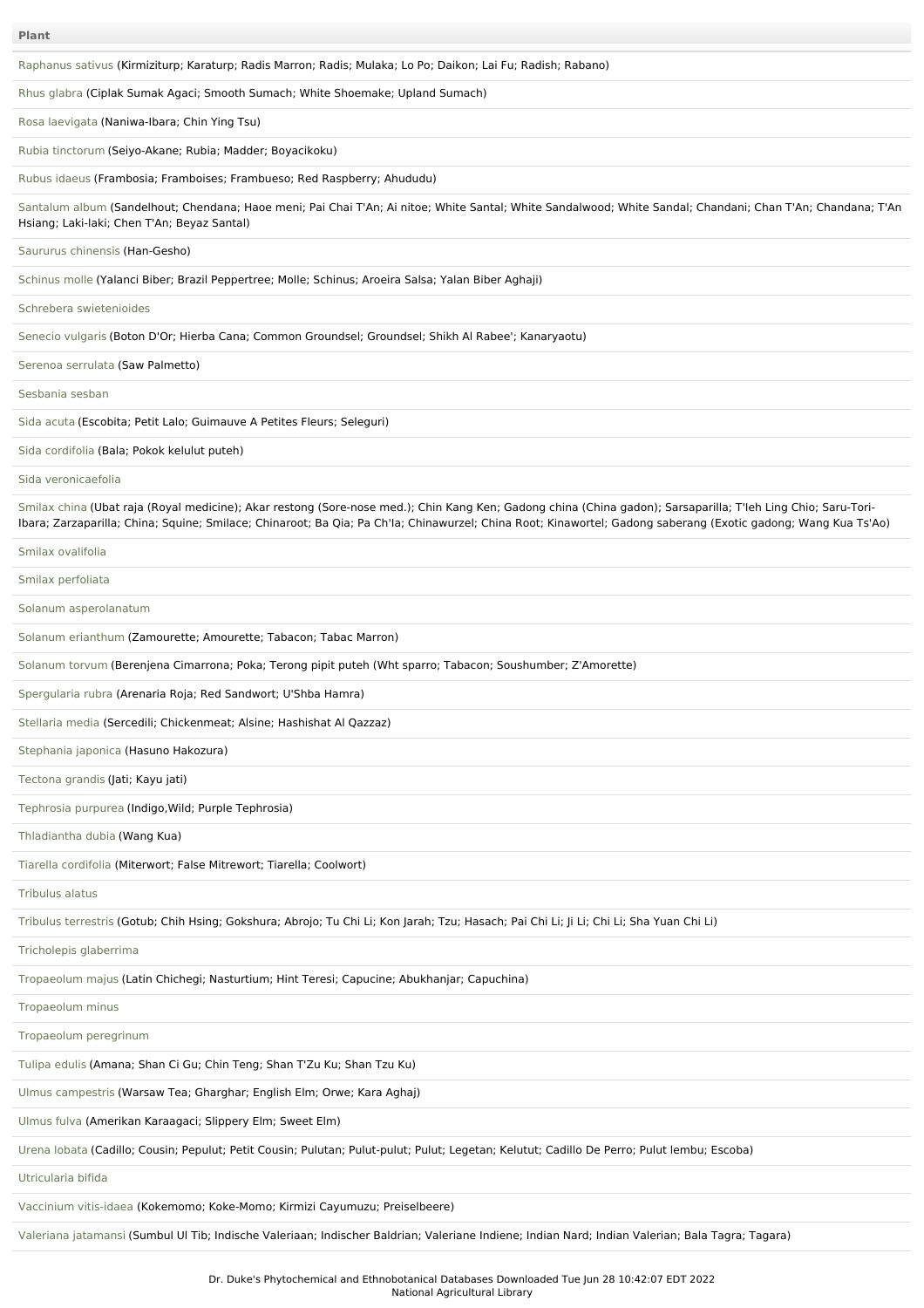| <b>Plant</b>                                                                                                                                                                                                                                                                                                                    |
|---------------------------------------------------------------------------------------------------------------------------------------------------------------------------------------------------------------------------------------------------------------------------------------------------------------------------------|
| Raphanus sativus (Kirmiziturp; Karaturp; Radis Marron; Radis; Mulaka; Lo Po; Daikon; Lai Fu; Radish; Rabano)                                                                                                                                                                                                                    |
| Rhus glabra (Ciplak Sumak Agaci; Smooth Sumach; White Shoemake; Upland Sumach)                                                                                                                                                                                                                                                  |
| Rosa laevigata (Naniwa-Ibara; Chin Ying Tsu)                                                                                                                                                                                                                                                                                    |
| Rubia tinctorum (Seiyo-Akane; Rubia; Madder; Boyacikoku)                                                                                                                                                                                                                                                                        |
| Rubus idaeus (Frambosia; Framboises; Frambueso; Red Raspberry; Ahududu)                                                                                                                                                                                                                                                         |
| Santalum album (Sandelhout; Chendana; Haoe meni; Pai Chai T'An; Ai nitoe; White Santal; White Sandalwood; White Sandal; Chandani; Chan T'An; Chandana; T'An<br>Hsiang; Laki-laki; Chen T'An; Beyaz Santal)                                                                                                                      |
| Saururus chinensis (Han-Gesho)                                                                                                                                                                                                                                                                                                  |
| Schinus molle (Yalanci Biber; Brazil Peppertree; Molle; Schinus; Aroeira Salsa; Yalan Biber Aghaji)                                                                                                                                                                                                                             |
| Schrebera swietenioides                                                                                                                                                                                                                                                                                                         |
| Senecio vulgaris (Boton D'Or; Hierba Cana; Common Groundsel; Groundsel; Shikh Al Rabee'; Kanaryaotu)                                                                                                                                                                                                                            |
| Serenoa serrulata (Saw Palmetto)                                                                                                                                                                                                                                                                                                |
| Sesbania sesban                                                                                                                                                                                                                                                                                                                 |
| Sida acuta (Escobita; Petit Lalo; Guimauve A Petites Fleurs; Seleguri)                                                                                                                                                                                                                                                          |
| Sida cordifolia (Bala; Pokok kelulut puteh)                                                                                                                                                                                                                                                                                     |
| Sida veronicaefolia                                                                                                                                                                                                                                                                                                             |
| Smilax china (Ubat raja (Royal medicine); Akar restong (Sore-nose med.); Chin Kang Ken; Gadong china (China gadon); Sarsaparilla; T'leh Ling Chio; Saru-Tori-<br>Ibara; Zarzaparilla; China; Squine; Smilace; Chinaroot; Ba Qia; Pa Ch'la; Chinawurzel; China Root; Kinawortel; Gadong saberang (Exotic gadong; Wang Kua Ts'Ao) |
| Smilax ovalifolia                                                                                                                                                                                                                                                                                                               |
| Smilax perfoliata                                                                                                                                                                                                                                                                                                               |
| Solanum asperolanatum                                                                                                                                                                                                                                                                                                           |
| Solanum erianthum (Zamourette; Amourette; Tabacon; Tabac Marron)                                                                                                                                                                                                                                                                |
| Solanum torvum (Berenjena Cimarrona; Poka; Terong pipit puteh (Wht sparro; Tabacon; Soushumber; Z'Amorette)                                                                                                                                                                                                                     |
| Spergularia rubra (Arenaria Roja; Red Sandwort; U'Shba Hamra)                                                                                                                                                                                                                                                                   |
| Stellaria media (Sercedili; Chickenmeat; Alsine; Hashishat Al Qazzaz)                                                                                                                                                                                                                                                           |
| Stephania japonica (Hasuno Hakozura)                                                                                                                                                                                                                                                                                            |
| Tectona grandis (Jati; Kayu jati)                                                                                                                                                                                                                                                                                               |
| Tephrosia purpurea (Indigo, Wild; Purple Tephrosia)                                                                                                                                                                                                                                                                             |
| Thladiantha dubia (Wang Kua)                                                                                                                                                                                                                                                                                                    |
| Tiarella cordifolia (Miterwort; False Mitrewort; Tiarella; Coolwort)                                                                                                                                                                                                                                                            |
| Tribulus alatus                                                                                                                                                                                                                                                                                                                 |
| Tribulus terrestris (Gotub; Chih Hsing; Gokshura; Abrojo; Tu Chi Li; Kon Jarah; Tzu; Hasach; Pai Chi Li; Ji Li; Chi Li; Sha Yuan Chi Li)                                                                                                                                                                                        |
| Tricholepis glaberrima                                                                                                                                                                                                                                                                                                          |
| Tropaeolum majus (Latin Chichegi; Nasturtium; Hint Teresi; Capucine; Abukhanjar; Capuchina)                                                                                                                                                                                                                                     |
| Tropaeolum minus                                                                                                                                                                                                                                                                                                                |
| Tropaeolum peregrinum                                                                                                                                                                                                                                                                                                           |
| Tulipa edulis (Amana; Shan Ci Gu; Chin Teng; Shan T'Zu Ku; Shan Tzu Ku)                                                                                                                                                                                                                                                         |
| Ulmus campestris (Warsaw Tea; Gharghar; English Elm; Orwe; Kara Aghaj)                                                                                                                                                                                                                                                          |
| Ulmus fulva (Amerikan Karaagaci; Slippery Elm; Sweet Elm)                                                                                                                                                                                                                                                                       |
| Urena lobata (Cadillo; Cousin; Pepulut; Petit Cousin; Pulutan; Pulut-pulut; Pulut; Legetan; Kelutut; Cadillo De Perro; Pulut lembu; Escoba)                                                                                                                                                                                     |
| Utricularia bifida                                                                                                                                                                                                                                                                                                              |
| Vaccinium vitis-idaea (Kokemomo; Koke-Momo; Kirmizi Cayumuzu; Preiselbeere)                                                                                                                                                                                                                                                     |
| Valeriana jatamansi (Sumbul UI Tib; Indische Valeriaan; Indischer Baldrian; Valeriane Indiene; Indian Nard; Indian Valerian; Bala Tagra; Tagara)                                                                                                                                                                                |